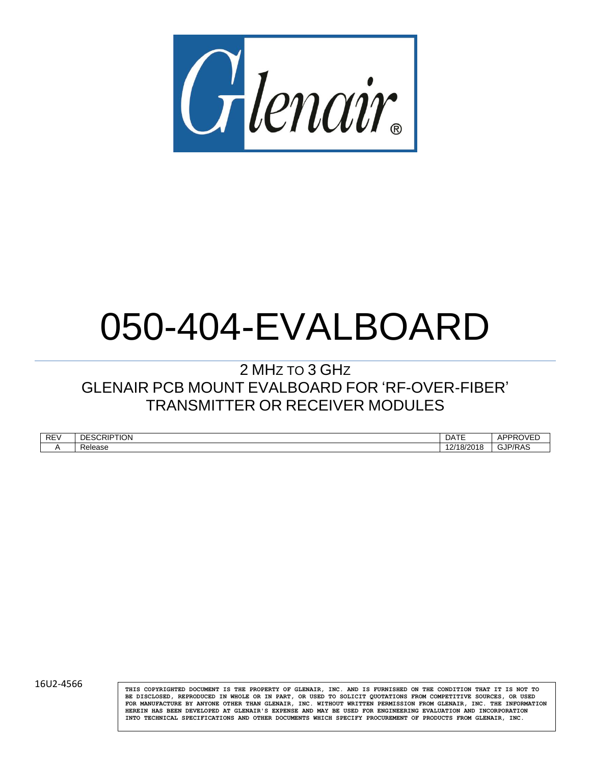

# 050-404-EVALBOARD

# 2 MHZ TO 3 GHZ GLENAIR PCB MOUNT EVALBOARD FOR 'RF-OVER-FIBER' TRANSMITTER OR RECEIVER MODULES

| REV | `י∩ו⊤חונ<br>n r<br><b>TION</b><br>൸<br>۱г<br>. | <b>DATE</b>          | A DDE<br>,,,<br>ור      |
|-----|------------------------------------------------|----------------------|-------------------------|
|     | عءومات<br>$\cdots$<br>15 C<br>1616             | `<br>17<br><br>IO/∠U | D/E<br>التالب<br>┄<br>. |

16U2-4566 **THIS COPYRIGHTED DOCUMENT IS THE PROPERTY OF GLENAIR, INC. AND IS FURNISHED ON THE CONDITION THAT IT IS NOT TO BE DISCLOSED, REPRODUCED IN WHOLE OR IN PART, OR USED TO SOLICIT QUOTATIONS FROM COMPETITIVE SOURCES, OR USED FOR MANUFACTURE BY ANYONE OTHER THAN GLENAIR, INC. WITHOUT WRITTEN PERMISSION FROM GLENAIR, INC. THE INFORMATION HEREIN HAS BEEN DEVELOPED AT GLENAIR'S EXPENSE AND MAY BE USED FOR ENGINEERING EVALUATION AND INCORPORATION INTO TECHNICAL SPECIFICATIONS AND OTHER DOCUMENTS WHICH SPECIFY PROCUREMENT OF PRODUCTS FROM GLENAIR, INC.**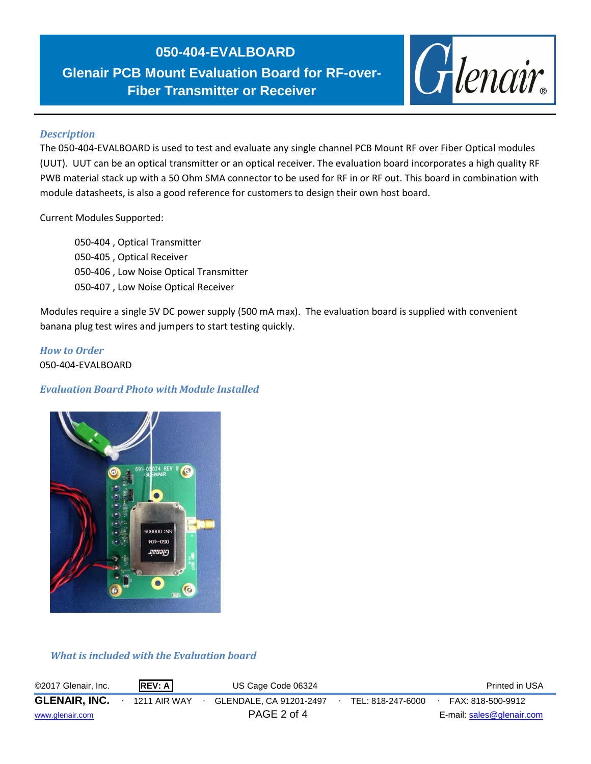# **050-404-EVALBOARD**

**Glenair PCB Mount Evaluation Board for RF-over-Fiber Transmitter or Receiver**

**2 MHz – 3 GHz**



#### *Description*

The 050-404-EVALBOARD is used to test and evaluate any single channel PCB Mount RF over Fiber Optical modules (UUT). UUT can be an optical transmitter or an optical receiver. The evaluation board incorporates a high quality RF PWB material stack up with a 50 Ohm SMA connector to be used for RF in or RF out. This board in combination with module datasheets, is also a good reference for customers to design their own host board.

Current Modules Supported:

050-404 , Optical Transmitter 050-405 , Optical Receiver 050-406 , Low Noise Optical Transmitter 050-407 , Low Noise Optical Receiver

Modules require a single 5V DC power supply (500 mA max). The evaluation board is supplied with convenient banana plug test wires and jumpers to start testing quickly.

*How to Order* 050-404-EVALBOARD

## *Evaluation Board Photo with Module Installed*



## *What is included with the Evaluation board*

| ©2017 Glenair, Inc.  | <b>REV: A</b>       | US Cage Code 06324      |                   | Printed in USA            |
|----------------------|---------------------|-------------------------|-------------------|---------------------------|
| <b>GLENAIR, INC.</b> | <b>1211 AIR WAY</b> | GLENDALE, CA 91201-2497 | TEL: 818-247-6000 | FAX: 818-500-9912         |
| www.glenair.com      |                     | PAGE 2 of 4             |                   | E-mail: sales@glenair.com |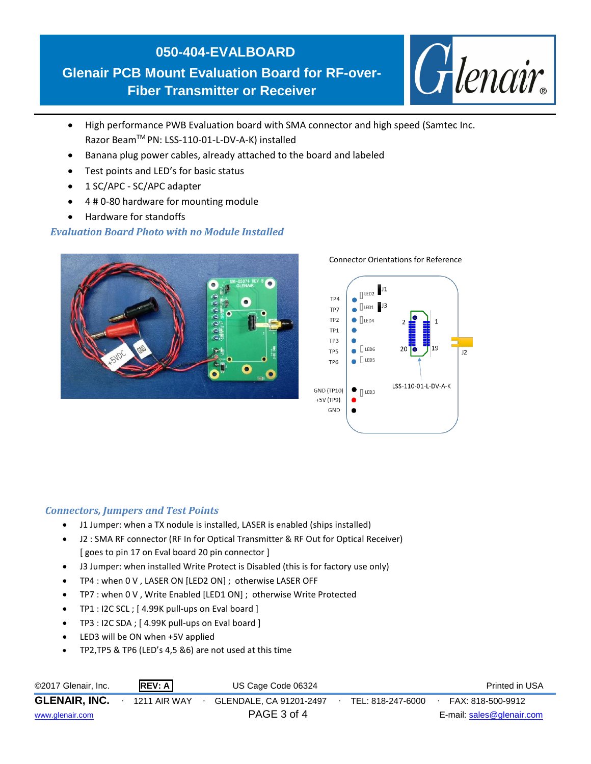# **050-404-EVALBOARD Glenair PCB Mount Evaluation Board for RF-over-Fiber Transmitter or Receiver**

Glenair.

- **2 MHz – 3 GHz** High performance PWB Evaluation board with SMA connector and high speed (Samtec Inc. Razor BeamTM PN: LSS-110-01-L-DV-A-K) installed
- Banana plug power cables, already attached to the board and labeled
- Test points and LED's for basic status
- 1 SC/APC SC/APC adapter
- 4 # 0-80 hardware for mounting module
- Hardware for standoffs

# *Evaluation Board Photo with no Module Installed*



#### Connector Orientations for Reference



## *Connectors, Jumpers and Test Points*

- J1 Jumper: when a TX nodule is installed, LASER is enabled (ships installed)
- J2 : SMA RF connector (RF In for Optical Transmitter & RF Out for Optical Receiver) [ goes to pin 17 on Eval board 20 pin connector ]
- J3 Jumper: when installed Write Protect is Disabled (this is for factory use only)
- TP4 : when 0 V , LASER ON [LED2 ON] ; otherwise LASER OFF
- TP7 : when 0 V , Write Enabled [LED1 ON] ; otherwise Write Protected
- TP1 : I2C SCL ; [4.99K pull-ups on Eval board ]
- TP3 : I2C SDA ; [4.99K pull-ups on Eval board ]
- LED3 will be ON when +5V applied
- TP2,TP5 & TP6 (LED's 4,5 &6) are not used at this time

| ©2017 Glenair, Inc.  | REV: A       | US Cage Code 06324      |                   | Printed in USA            |
|----------------------|--------------|-------------------------|-------------------|---------------------------|
| <b>GLENAIR, INC.</b> | 1211 AIR WAY | GLENDALE, CA 91201-2497 | TEL: 818-247-6000 | FAX: 818-500-9912         |
| www.glenair.com      |              | PAGE 3 of 4             |                   | E-mail: sales@glenair.com |